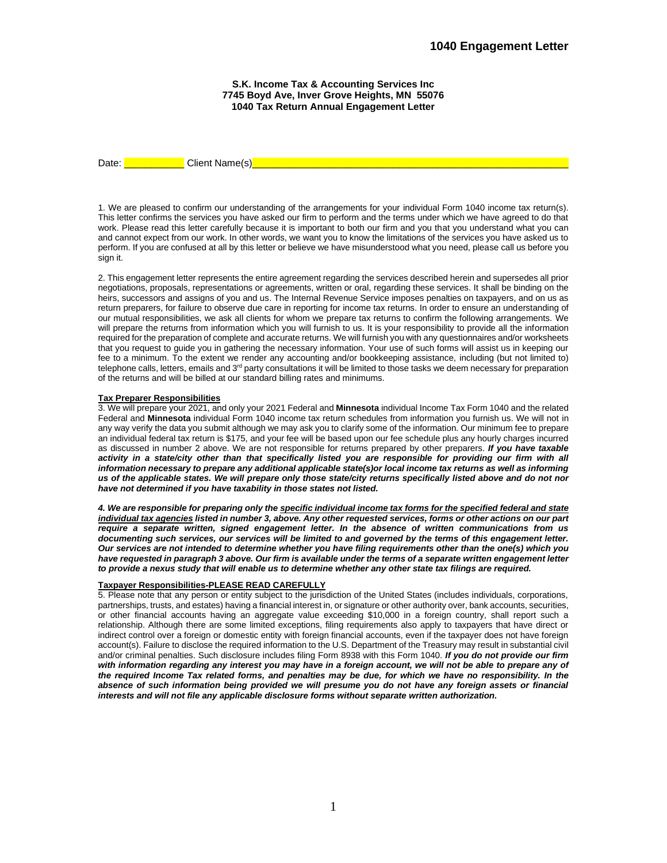**S.K. Income Tax & Accounting Services Inc 7745 Boyd Ave, Inver Grove Heights, MN 55076 1040 Tax Return Annual Engagement Letter**

Date: <u>\_\_\_\_\_\_\_\_\_\_\_\_\_\_\_</u> Client Name(s)

1. We are pleased to confirm our understanding of the arrangements for your individual Form 1040 income tax return(s). This letter confirms the services you have asked our firm to perform and the terms under which we have agreed to do that work. Please read this letter carefully because it is important to both our firm and you that you understand what you can and cannot expect from our work. In other words, we want you to know the limitations of the services you have asked us to perform. If you are confused at all by this letter or believe we have misunderstood what you need, please call us before you sign it.

2. This engagement letter represents the entire agreement regarding the services described herein and supersedes all prior negotiations, proposals, representations or agreements, written or oral, regarding these services. It shall be binding on the heirs, successors and assigns of you and us. The Internal Revenue Service imposes penalties on taxpayers, and on us as return preparers, for failure to observe due care in reporting for income tax returns. In order to ensure an understanding of our mutual responsibilities, we ask all clients for whom we prepare tax returns to confirm the following arrangements. We will prepare the returns from information which you will furnish to us. It is your responsibility to provide all the information required for the preparation of complete and accurate returns. We will furnish you with any questionnaires and/or worksheets that you request to guide you in gathering the necessary information. Your use of such forms will assist us in keeping our fee to a minimum. To the extent we render any accounting and/or bookkeeping assistance, including (but not limited to) telephone calls, letters, emails and 3<sup>rd</sup> party consultations it will be limited to those tasks we deem necessary for preparation of the returns and will be billed at our standard billing rates and minimums.

## **Tax Preparer Responsibilities**

3. We will prepare your 2021, and only your 2021 Federal and **Minnesota** individual Income Tax Form 1040 and the related Federal and **Minnesota** individual Form 1040 income tax return schedules from information you furnish us. We will not in any way verify the data you submit although we may ask you to clarify some of the information. Our minimum fee to prepare an individual federal tax return is \$175, and your fee will be based upon our fee schedule plus any hourly charges incurred as discussed in number 2 above. We are not responsible for returns prepared by other preparers. *If you have taxable activity in a state/city other than that specifically listed you are responsible for providing our firm with all*  information necessary to prepare any additional applicable state(s)or local income tax returns as well as informing *us of the applicable states. We will prepare only those state/city returns specifically listed above and do not nor have not determined if you have taxability in those states not listed.*

*4. We are responsible for preparing only the specific individual income tax forms for the specified federal and state individual tax agencies listed in number 3, above. Any other requested services, forms or other actions on our part require a separate written, signed engagement letter. In the absence of written communications from us documenting such services, our services will be limited to and governed by the terms of this engagement letter. Our services are not intended to determine whether you have filing requirements other than the one(s) which you have requested in paragraph 3 above. Our firm is available under the terms of a separate written engagement letter to provide a nexus study that will enable us to determine whether any other state tax filings are required.*

## **Taxpayer Responsibilities-PLEASE READ CAREFULLY**

5. Please note that any person or entity subject to the jurisdiction of the United States (includes individuals, corporations, partnerships, trusts, and estates) having a financial interest in, or signature or other authority over, bank accounts, securities, or other financial accounts having an aggregate value exceeding \$10,000 in a foreign country, shall report such a relationship. Although there are some limited exceptions, filing requirements also apply to taxpayers that have direct or indirect control over a foreign or domestic entity with foreign financial accounts, even if the taxpayer does not have foreign account(s). Failure to disclose the required information to the U.S. Department of the Treasury may result in substantial civil and/or criminal penalties. Such disclosure includes filing Form 8938 with this Form 1040. *If you do not provide our firm*  with information regarding any interest you may have in a foreign account, we will not be able to prepare any of *the required Income Tax related forms, and penalties may be due, for which we have no responsibility. In the absence of such information being provided we will presume you do not have any foreign assets or financial interests and will not file any applicable disclosure forms without separate written authorization.*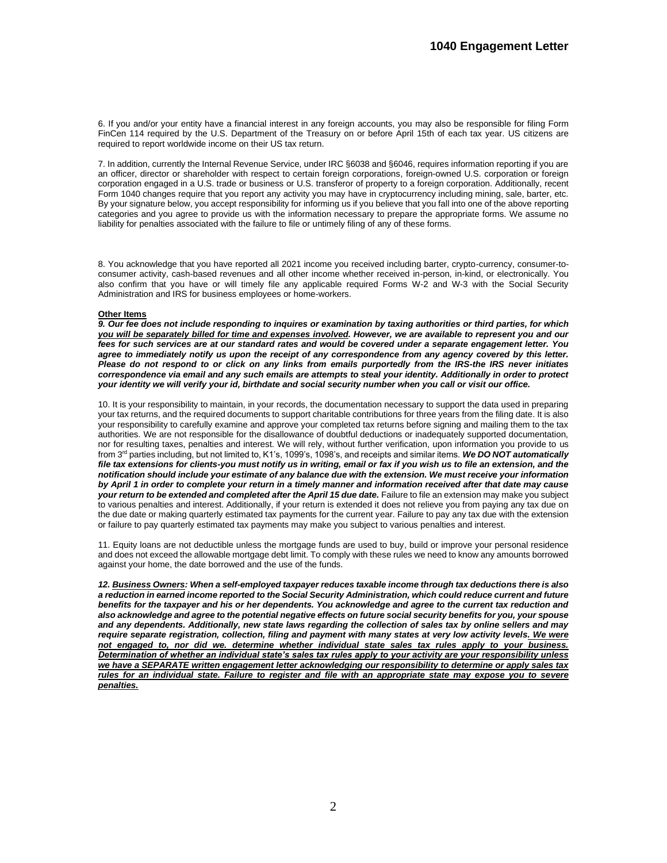6. If you and/or your entity have a financial interest in any foreign accounts, you may also be responsible for filing Form FinCen 114 required by the U.S. Department of the Treasury on or before April 15th of each tax year. US citizens are required to report worldwide income on their US tax return.

7. In addition, currently the Internal Revenue Service, under IRC §6038 and §6046, requires information reporting if you are an officer, director or shareholder with respect to certain foreign corporations, foreign-owned U.S. corporation or foreign corporation engaged in a U.S. trade or business or U.S. transferor of property to a foreign corporation. Additionally, recent Form 1040 changes require that you report any activity you may have in cryptocurrency including mining, sale, barter, etc. By your signature below, you accept responsibility for informing us if you believe that you fall into one of the above reporting categories and you agree to provide us with the information necessary to prepare the appropriate forms. We assume no liability for penalties associated with the failure to file or untimely filing of any of these forms.

8. You acknowledge that you have reported all 2021 income you received including barter, crypto-currency, consumer-toconsumer activity, cash-based revenues and all other income whether received in-person, in-kind, or electronically. You also confirm that you have or will timely file any applicable required Forms W-2 and W-3 with the Social Security Administration and IRS for business employees or home-workers.

## **Other Items**

*9. Our fee does not include responding to inquires or examination by taxing authorities or third parties, for which you will be separately billed for time and expenses involved. However, we are available to represent you and our fees for such services are at our standard rates and would be covered under a separate engagement letter. You agree to immediately notify us upon the receipt of any correspondence from any agency covered by this letter. Please do not respond to or click on any links from emails purportedly from the IRS-the IRS never initiates correspondence via email and any such emails are attempts to steal your identity. Additionally in order to protect your identity we will verify your id, birthdate and social security number when you call or visit our office.*

10. It is your responsibility to maintain, in your records, the documentation necessary to support the data used in preparing your tax returns, and the required documents to support charitable contributions for three years from the filing date. It is also your responsibility to carefully examine and approve your completed tax returns before signing and mailing them to the tax authorities. We are not responsible for the disallowance of doubtful deductions or inadequately supported documentation, nor for resulting taxes, penalties and interest. We will rely, without further verification, upon information you provide to us from 3rd parties including, but not limited to, K1's, 1099's, 1098's, and receipts and similar items. *We DO NOT automatically*  file tax extensions for clients-you must notify us in writing, email or fax if you wish us to file an extension, and the *notification should include your estimate of any balance due with the extension. We must receive your information by April 1 in order to complete your return in a timely manner and information received after that date may cause*  your return to be extended and completed after the April 15 due date. Failure to file an extension may make you subject to various penalties and interest. Additionally, if your return is extended it does not relieve you from paying any tax due on the due date or making quarterly estimated tax payments for the current year. Failure to pay any tax due with the extension or failure to pay quarterly estimated tax payments may make you subject to various penalties and interest.

11. Equity loans are not deductible unless the mortgage funds are used to buy, build or improve your personal residence and does not exceed the allowable mortgage debt limit. To comply with these rules we need to know any amounts borrowed against your home, the date borrowed and the use of the funds.

*12. Business Owners: When a self-employed taxpayer reduces taxable income through tax deductions there is also a reduction in earned income reported to the Social Security Administration, which could reduce current and future benefits for the taxpayer and his or her dependents. You acknowledge and agree to the current tax reduction and also acknowledge and agree to the potential negative effects on future social security benefits for you, your spouse and any dependents. Additionally, new state laws regarding the collection of sales tax by online sellers and may require separate registration, collection, filing and payment with many states at very low activity levels. We were not engaged to, nor did we. determine whether individual state sales tax rules apply to your business. Determination of whether an individual state's sales tax rules apply to your activity are your responsibility unless we have a SEPARATE written engagement letter acknowledging our responsibility to determine or apply sales tax rules for an individual state. Failure to register and file with an appropriate state may expose you to severe penalties.*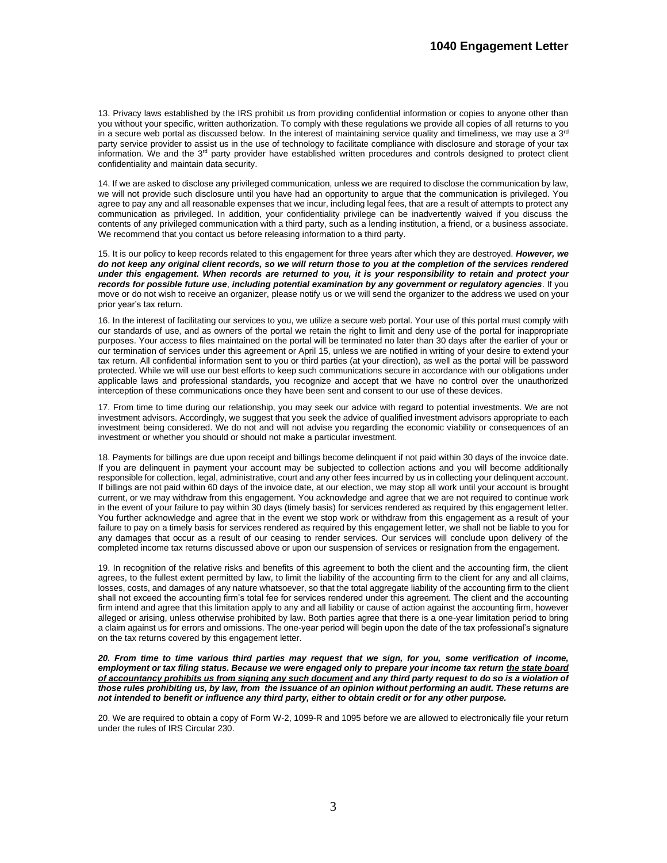13. Privacy laws established by the IRS prohibit us from providing confidential information or copies to anyone other than you without your specific, written authorization. To comply with these regulations we provide all copies of all returns to you in a secure web portal as discussed below. In the interest of maintaining service quality and timeliness, we may use a  $3<sup>rd</sup>$ party service provider to assist us in the use of technology to facilitate compliance with disclosure and storage of your tax information. We and the 3<sup>rd</sup> party provider have established written procedures and controls designed to protect client confidentiality and maintain data security.

14. If we are asked to disclose any privileged communication, unless we are required to disclose the communication by law, we will not provide such disclosure until you have had an opportunity to argue that the communication is privileged. You agree to pay any and all reasonable expenses that we incur, including legal fees, that are a result of attempts to protect any communication as privileged. In addition, your confidentiality privilege can be inadvertently waived if you discuss the contents of any privileged communication with a third party, such as a lending institution, a friend, or a business associate. We recommend that you contact us before releasing information to a third party.

15. It is our policy to keep records related to this engagement for three years after which they are destroyed. *However, we do not keep any original client records, so we will return those to you at the completion of the services rendered under this engagement. When records are returned to you, it is your responsibility to retain and protect your records for possible future use*, *including potential examination by any government or regulatory agencies*. If you move or do not wish to receive an organizer, please notify us or we will send the organizer to the address we used on your prior year's tax return.

16. In the interest of facilitating our services to you, we utilize a secure web portal. Your use of this portal must comply with our standards of use, and as owners of the portal we retain the right to limit and deny use of the portal for inappropriate purposes. Your access to files maintained on the portal will be terminated no later than 30 days after the earlier of your or our termination of services under this agreement or April 15, unless we are notified in writing of your desire to extend your tax return. All confidential information sent to you or third parties (at your direction), as well as the portal will be password protected. While we will use our best efforts to keep such communications secure in accordance with our obligations under applicable laws and professional standards, you recognize and accept that we have no control over the unauthorized interception of these communications once they have been sent and consent to our use of these devices.

17. From time to time during our relationship, you may seek our advice with regard to potential investments. We are not investment advisors. Accordingly, we suggest that you seek the advice of qualified investment advisors appropriate to each investment being considered. We do not and will not advise you regarding the economic viability or consequences of an investment or whether you should or should not make a particular investment.

18. Payments for billings are due upon receipt and billings become delinquent if not paid within 30 days of the invoice date. If you are delinquent in payment your account may be subjected to collection actions and you will become additionally responsible for collection, legal, administrative, court and any other fees incurred by us in collecting your delinquent account. If billings are not paid within 60 days of the invoice date, at our election, we may stop all work until your account is brought current, or we may withdraw from this engagement. You acknowledge and agree that we are not required to continue work in the event of your failure to pay within 30 days (timely basis) for services rendered as required by this engagement letter. You further acknowledge and agree that in the event we stop work or withdraw from this engagement as a result of your failure to pay on a timely basis for services rendered as required by this engagement letter, we shall not be liable to you for any damages that occur as a result of our ceasing to render services. Our services will conclude upon delivery of the completed income tax returns discussed above or upon our suspension of services or resignation from the engagement.

19. In recognition of the relative risks and benefits of this agreement to both the client and the accounting firm, the client agrees, to the fullest extent permitted by law, to limit the liability of the accounting firm to the client for any and all claims, losses, costs, and damages of any nature whatsoever, so that the total aggregate liability of the accounting firm to the client shall not exceed the accounting firm's total fee for services rendered under this agreement. The client and the accounting firm intend and agree that this limitation apply to any and all liability or cause of action against the accounting firm, however alleged or arising, unless otherwise prohibited by law. Both parties agree that there is a one-year limitation period to bring a claim against us for errors and omissions. The one-year period will begin upon the date of the tax professional's signature on the tax returns covered by this engagement letter.

*20. From time to time various third parties may request that we sign, for you, some verification of income,*  employment or tax filing status. Because we were engaged only to prepare your income tax return the state board *of accountancy prohibits us from signing any such document and any third party request to do so is a violation of those rules prohibiting us, by law, from the issuance of an opinion without performing an audit. These returns are not intended to benefit or influence any third party, either to obtain credit or for any other purpose.*

20. We are required to obtain a copy of Form W-2, 1099-R and 1095 before we are allowed to electronically file your return under the rules of IRS Circular 230.